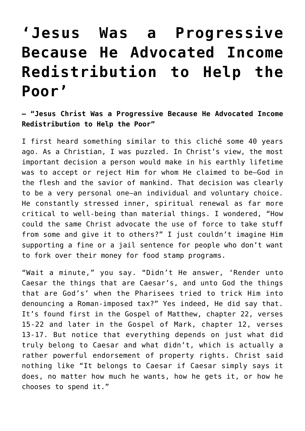## **['Jesus Was a Progressive](https://intellectualtakeout.org/2017/04/jesus-was-a-progressive-because-he-advocated-income-redistribution-to-help-the-poor/) [Because He Advocated Income](https://intellectualtakeout.org/2017/04/jesus-was-a-progressive-because-he-advocated-income-redistribution-to-help-the-poor/) [Redistribution to Help the](https://intellectualtakeout.org/2017/04/jesus-was-a-progressive-because-he-advocated-income-redistribution-to-help-the-poor/) [Poor'](https://intellectualtakeout.org/2017/04/jesus-was-a-progressive-because-he-advocated-income-redistribution-to-help-the-poor/)**

## **— "Jesus Christ Was a Progressive Because He Advocated Income Redistribution to Help the Poor"**

I first heard something similar to this cliché some 40 years ago. As a Christian, I was puzzled. In Christ's view, the most important decision a person would make in his earthly lifetime was to accept or reject Him for whom He claimed to be—God in the flesh and the savior of mankind. That decision was clearly to be a very personal one—an individual and voluntary choice. He constantly stressed inner, spiritual renewal as far more critical to well-being than material things. I wondered, "How could the same Christ advocate the use of force to take stuff from some and give it to others?" I just couldn't imagine Him supporting a fine or a jail sentence for people who don't want to fork over their money for food stamp programs.

"Wait a minute," you say. "Didn't He answer, 'Render unto Caesar the things that are Caesar's, and unto God the things that are God's' when the Pharisees tried to trick Him into denouncing a Roman-imposed tax?" Yes indeed, He did say that. It's found first in the Gospel of Matthew, chapter 22, verses 15-22 and later in the Gospel of Mark, chapter 12, verses 13-17. But notice that everything depends on just what did truly belong to Caesar and what didn't, which is actually a rather powerful endorsement of property rights. Christ said nothing like "It belongs to Caesar if Caesar simply says it does, no matter how much he wants, how he gets it, or how he chooses to spend it."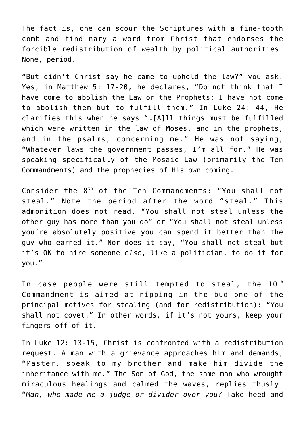The fact is, one can scour the Scriptures with a fine-tooth comb and find nary a word from Christ that endorses the forcible redistribution of wealth by political authorities. None, period.

"But didn't Christ say he came to uphold the law?" you ask. Yes, in Matthew 5: 17-20, he declares, "Do not think that I have come to abolish the Law or the Prophets; I have not come to abolish them but to fulfill them." In Luke 24: 44, He clarifies this when he says "…[A]ll things must be fulfilled which were written in the law of Moses, and in the prophets, and in the psalms, concerning me." He was not saying, "Whatever laws the government passes, I'm all for." He was speaking specifically of the Mosaic Law (primarily the Ten Commandments) and the prophecies of His own coming.

Consider the 8<sup>th</sup> of the Ten Commandments: "You shall not steal." Note the period after the word "steal." This admonition does not read, "You shall not steal unless the other guy has more than you do" or "You shall not steal unless you're absolutely positive you can spend it better than the guy who earned it." Nor does it say, "You shall not steal but it's OK to hire someone *else*, like a politician, to do it for you."

In case people were still tempted to steal, the  $10^{th}$ Commandment is aimed at nipping in the bud one of the principal motives for stealing (and for redistribution): "You shall not covet." In other words, if it's not yours, keep your fingers off of it.

In Luke 12: 13-15, Christ is confronted with a redistribution request. A man with a grievance approaches him and demands, "Master, speak to my brother and make him divide the inheritance with me." The Son of God, the same man who wrought miraculous healings and calmed the waves, replies thusly: "*Man, who made me a judge or divider over you?* Take heed and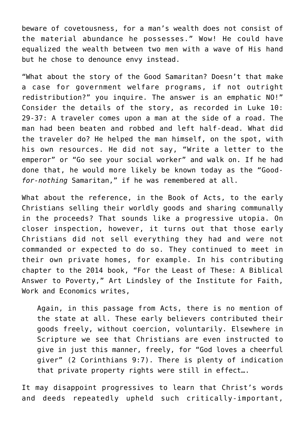beware of covetousness, for a man's wealth does not consist of the material abundance he possesses." Wow! He could have equalized the wealth between two men with a wave of His hand but he chose to denounce envy instead.

"What about the story of the Good Samaritan? Doesn't that make a case for government welfare programs, if not outright redistribution?" you inquire. The answer is an emphatic NO!" Consider the details of the story, as recorded in Luke 10: 29-37: A traveler comes upon a man at the side of a road. The man had been beaten and robbed and left half-dead. What did the traveler do? He helped the man himself, on the spot, with his own resources. He did not say, "Write a letter to the emperor" or "Go see your social worker" and walk on. If he had done that, he would more likely be known today as the "Good*for-nothing* Samaritan," if he was remembered at all.

What about the reference, in the Book of Acts, to the early Christians selling their worldly goods and sharing communally in the proceeds? That sounds like a progressive utopia. On closer inspection, however, it turns out that those early Christians did not sell everything they had and were not commanded or expected to do so. They continued to meet in their own private homes, for example. In his contributing chapter to the 2014 book, "For the Least of These: A Biblical Answer to Poverty," Art Lindsley of the Institute for Faith, Work and Economics writes,

Again, in this passage from Acts, there is no mention of the state at all. These early believers contributed their goods freely, without coercion, voluntarily. Elsewhere in Scripture we see that Christians are even instructed to give in just this manner, freely, for "God loves a cheerful giver" (2 Corinthians 9:7). There is plenty of indication that private property rights were still in effect….

It may disappoint progressives to learn that Christ's words and deeds repeatedly upheld such critically-important,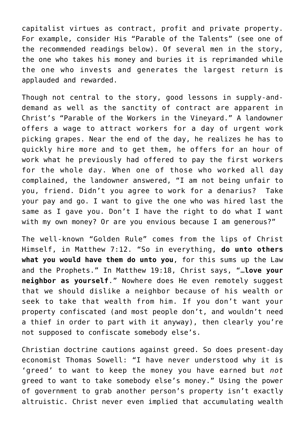capitalist virtues as contract, profit and private property. For example, consider His "Parable of the Talents" (see one of the recommended readings below). Of several men in the story, the one who takes his money and buries it is reprimanded while the one who invests and generates the largest return is applauded and rewarded.

Though not central to the story, good lessons in supply-anddemand as well as the sanctity of contract are apparent in Christ's "Parable of the Workers in the Vineyard." A landowner offers a wage to attract workers for a day of urgent work picking grapes. Near the end of the day, he realizes he has to quickly hire more and to get them, he offers for an hour of work what he previously had offered to pay the first workers for the whole day. When one of those who worked all day complained, the landowner answered, "I am not being unfair to you, friend. Didn't you agree to work for a denarius? Take your pay and go. I want to give the one who was hired last the same as I gave you. Don't I have the right to do what I want with my own money? Or are you envious because I am generous?"

The well-known "Golden Rule" comes from the lips of Christ Himself, in Matthew 7:12. "So in everything, **do unto others what you would have them do unto you**, for this sums up the Law and the Prophets." In Matthew 19:18, Christ says, "…**love your neighbor as yourself**." Nowhere does He even remotely suggest that we should dislike a neighbor because of his wealth or seek to take that wealth from him. If you don't want your property confiscated (and most people don't, and wouldn't need a thief in order to part with it anyway), then clearly you're not supposed to confiscate somebody else's.

Christian doctrine cautions against greed. So does present-day economist Thomas Sowell: "I have never understood why it is 'greed' to want to keep the money you have earned but *not* greed to want to take somebody else's money." Using the power of government to grab another person's property isn't exactly altruistic. Christ never even implied that accumulating wealth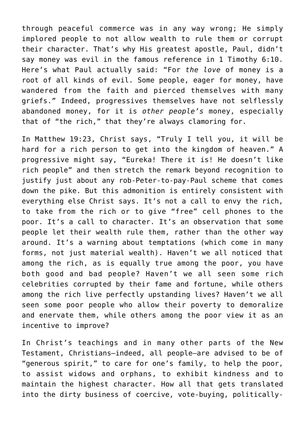through peaceful commerce was in any way wrong; He simply implored people to not allow wealth to rule them or corrupt their character. That's why His greatest apostle, Paul, didn't say money was evil in the famous reference in 1 Timothy 6:10. Here's what Paul actually said: "For *the love* of money is a root of all kinds of evil. Some people, eager for money, have wandered from the faith and pierced themselves with many griefs." Indeed, progressives themselves have not selflessly abandoned money, for it is *other people's* money, especially that of "the rich," that they're always clamoring for.

In Matthew 19:23, Christ says, "Truly I tell you, it will be hard for a rich person to get into the kingdom of heaven." A progressive might say, "Eureka! There it is! He doesn't like rich people" and then stretch the remark beyond recognition to justify just about any rob-Peter-to-pay-Paul scheme that comes down the pike. But this admonition is entirely consistent with everything else Christ says. It's not a call to envy the rich, to take from the rich or to give "free" cell phones to the poor. It's a call to character. It's an observation that some people let their wealth rule them, rather than the other way around. It's a warning about temptations (which come in many forms, not just material wealth). Haven't we all noticed that among the rich, as is equally true among the poor, you have both good and bad people? Haven't we all seen some rich celebrities corrupted by their fame and fortune, while others among the rich live perfectly upstanding lives? Haven't we all seen some poor people who allow their poverty to demoralize and enervate them, while others among the poor view it as an incentive to improve?

In Christ's teachings and in many other parts of the New Testament, Christians—indeed, all people—are advised to be of "generous spirit," to care for one's family, to help the poor, to assist widows and orphans, to exhibit kindness and to maintain the highest character. How all that gets translated into the dirty business of coercive, vote-buying, politically-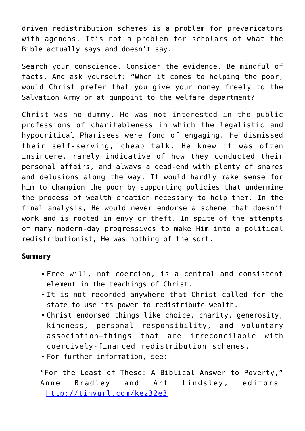driven redistribution schemes is a problem for prevaricators with agendas. It's not a problem for scholars of what the Bible actually says and doesn't say.

Search your conscience. Consider the evidence. Be mindful of facts. And ask yourself: "When it comes to helping the poor, would Christ prefer that you give your money freely to the Salvation Army or at gunpoint to the welfare department?

Christ was no dummy. He was not interested in the public professions of charitableness in which the legalistic and hypocritical Pharisees were fond of engaging. He dismissed their self-serving, cheap talk. He knew it was often insincere, rarely indicative of how they conducted their personal affairs, and always a dead-end with plenty of snares and delusions along the way. It would hardly make sense for him to champion the poor by supporting policies that undermine the process of wealth creation necessary to help them. In the final analysis, He would never endorse a scheme that doesn't work and is rooted in envy or theft. In spite of the attempts of many modern-day progressives to make Him into a political redistributionist, He was nothing of the sort.

## **Summary**

- Free will, not coercion, is a central and consistent element in the teachings of Christ.
- It is not recorded anywhere that Christ called for the state to use its power to redistribute wealth.
- Christ endorsed things like choice, charity, generosity, kindness, personal responsibility, and voluntary association—things that are irreconcilable with coercively-financed redistribution schemes.
- For further information, see:

"For the Least of These: A Biblical Answer to Poverty," Anne Bradley and Art Lindsley, editors: [http://tinyurl.com/kez32e3](https://tinyurl.com/kez32e3)